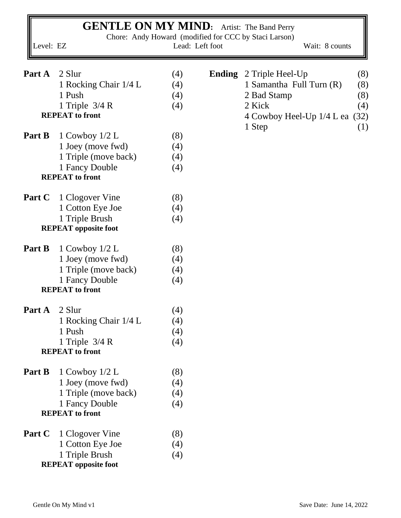| <b>GENTLE ON MY MIND:</b> Artist: The Band Perry<br>Chore: Andy Howard (modified for CCC by Staci Larson)<br>Level: EZ<br>Lead: Left foot<br>Wait: 8 counts |                                          |            |               |                                                            |  |  |  |  |  |  |
|-------------------------------------------------------------------------------------------------------------------------------------------------------------|------------------------------------------|------------|---------------|------------------------------------------------------------|--|--|--|--|--|--|
| Part A                                                                                                                                                      | 2 Slur<br>1 Rocking Chair 1/4 L          | (4)<br>(4) | <b>Ending</b> | 2 Triple Heel-Up<br>(8)<br>1 Samantha Full Turn (R)<br>(8) |  |  |  |  |  |  |
|                                                                                                                                                             | 1 Push                                   | (4)        |               | (8)<br>2 Bad Stamp                                         |  |  |  |  |  |  |
|                                                                                                                                                             | 1 Triple $3/4 R$                         | (4)        |               | 2 Kick<br>(4)                                              |  |  |  |  |  |  |
|                                                                                                                                                             | <b>REPEAT</b> to front                   |            |               | (32)<br>4 Cowboy Heel-Up 1/4 L ea<br>1 Step<br>(1)         |  |  |  |  |  |  |
| Part B                                                                                                                                                      | 1 Cowboy $1/2$ L                         | (8)        |               |                                                            |  |  |  |  |  |  |
|                                                                                                                                                             | 1 Joey (move fwd)                        | (4)        |               |                                                            |  |  |  |  |  |  |
|                                                                                                                                                             | 1 Triple (move back)                     | (4)        |               |                                                            |  |  |  |  |  |  |
|                                                                                                                                                             | 1 Fancy Double                           | (4)        |               |                                                            |  |  |  |  |  |  |
|                                                                                                                                                             | <b>REPEAT</b> to front                   |            |               |                                                            |  |  |  |  |  |  |
| Part C                                                                                                                                                      | 1 Clogover Vine                          | (8)        |               |                                                            |  |  |  |  |  |  |
|                                                                                                                                                             | 1 Cotton Eye Joe                         | (4)        |               |                                                            |  |  |  |  |  |  |
|                                                                                                                                                             | 1 Triple Brush                           | (4)        |               |                                                            |  |  |  |  |  |  |
|                                                                                                                                                             | <b>REPEAT</b> opposite foot              |            |               |                                                            |  |  |  |  |  |  |
| Part B                                                                                                                                                      | 1 Cowboy $1/2$ L                         | (8)        |               |                                                            |  |  |  |  |  |  |
|                                                                                                                                                             | 1 Joey (move fwd)                        | (4)        |               |                                                            |  |  |  |  |  |  |
|                                                                                                                                                             | 1 Triple (move back)                     | (4)        |               |                                                            |  |  |  |  |  |  |
|                                                                                                                                                             | 1 Fancy Double<br><b>REPEAT</b> to front | (4)        |               |                                                            |  |  |  |  |  |  |
|                                                                                                                                                             |                                          |            |               |                                                            |  |  |  |  |  |  |
| Part A                                                                                                                                                      | 2 Slur                                   | (4)        |               |                                                            |  |  |  |  |  |  |
|                                                                                                                                                             | 1 Rocking Chair 1/4 L                    | (4)        |               |                                                            |  |  |  |  |  |  |
|                                                                                                                                                             | 1 Push                                   | (4)        |               |                                                            |  |  |  |  |  |  |
|                                                                                                                                                             | 1 Triple $3/4 R$                         | (4)        |               |                                                            |  |  |  |  |  |  |
|                                                                                                                                                             | <b>REPEAT</b> to front                   |            |               |                                                            |  |  |  |  |  |  |
| Part B                                                                                                                                                      | 1 Cowboy $1/2$ L                         | (8)        |               |                                                            |  |  |  |  |  |  |
|                                                                                                                                                             | 1 Joey (move fwd)                        | (4)        |               |                                                            |  |  |  |  |  |  |
|                                                                                                                                                             | 1 Triple (move back)                     | (4)        |               |                                                            |  |  |  |  |  |  |
|                                                                                                                                                             | 1 Fancy Double                           | (4)        |               |                                                            |  |  |  |  |  |  |
|                                                                                                                                                             | <b>REPEAT</b> to front                   |            |               |                                                            |  |  |  |  |  |  |
| Part C                                                                                                                                                      | 1 Clogover Vine                          | (8)        |               |                                                            |  |  |  |  |  |  |
|                                                                                                                                                             | 1 Cotton Eye Joe                         | (4)        |               |                                                            |  |  |  |  |  |  |
|                                                                                                                                                             | 1 Triple Brush                           | (4)        |               |                                                            |  |  |  |  |  |  |
|                                                                                                                                                             | <b>REPEAT</b> opposite foot              |            |               |                                                            |  |  |  |  |  |  |